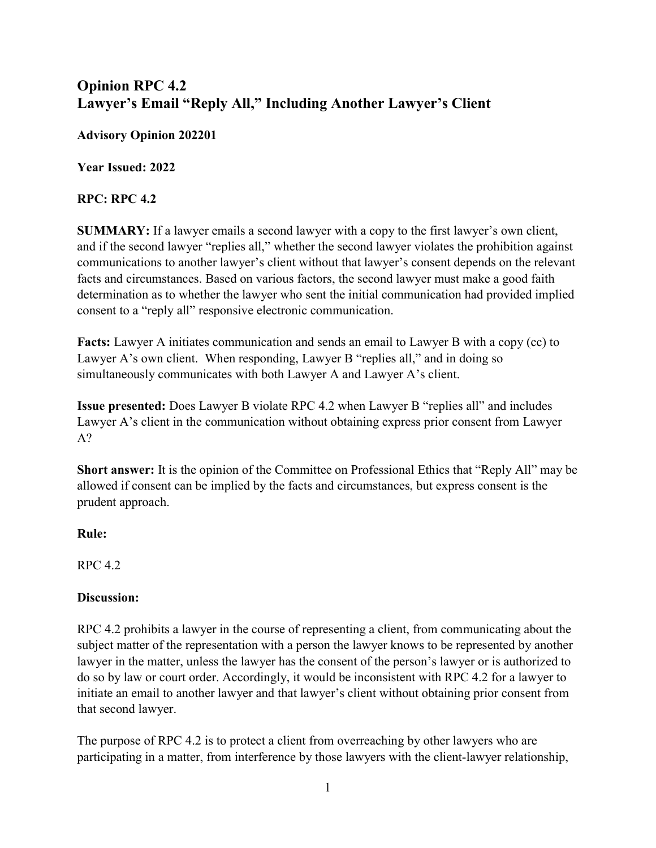## Opinion RPC 4.2 Lawyer's Email "Reply All," Including Another Lawyer's Client

Advisory Opinion 202201

Year Issued: 2022

## RPC: RPC 4.2

SUMMARY: If a lawyer emails a second lawyer with a copy to the first lawyer's own client, and if the second lawyer "replies all," whether the second lawyer violates the prohibition against communications to another lawyer's client without that lawyer's consent depends on the relevant facts and circumstances. Based on various factors, the second lawyer must make a good faith determination as to whether the lawyer who sent the initial communication had provided implied consent to a "reply all" responsive electronic communication.

Facts: Lawyer A initiates communication and sends an email to Lawyer B with a copy (cc) to Lawyer A's own client. When responding, Lawyer B "replies all," and in doing so simultaneously communicates with both Lawyer A and Lawyer A's client.

Issue presented: Does Lawyer B violate RPC 4.2 when Lawyer B "replies all" and includes Lawyer A's client in the communication without obtaining express prior consent from Lawyer A?

Short answer: It is the opinion of the Committee on Professional Ethics that "Reply All" may be allowed if consent can be implied by the facts and circumstances, but express consent is the prudent approach.

## Rule:

RPC 4.2

## Discussion:

RPC 4.2 prohibits a lawyer in the course of representing a client, from communicating about the subject matter of the representation with a person the lawyer knows to be represented by another lawyer in the matter, unless the lawyer has the consent of the person's lawyer or is authorized to do so by law or court order. Accordingly, it would be inconsistent with RPC 4.2 for a lawyer to initiate an email to another lawyer and that lawyer's client without obtaining prior consent from that second lawyer.

The purpose of RPC 4.2 is to protect a client from overreaching by other lawyers who are participating in a matter, from interference by those lawyers with the client-lawyer relationship,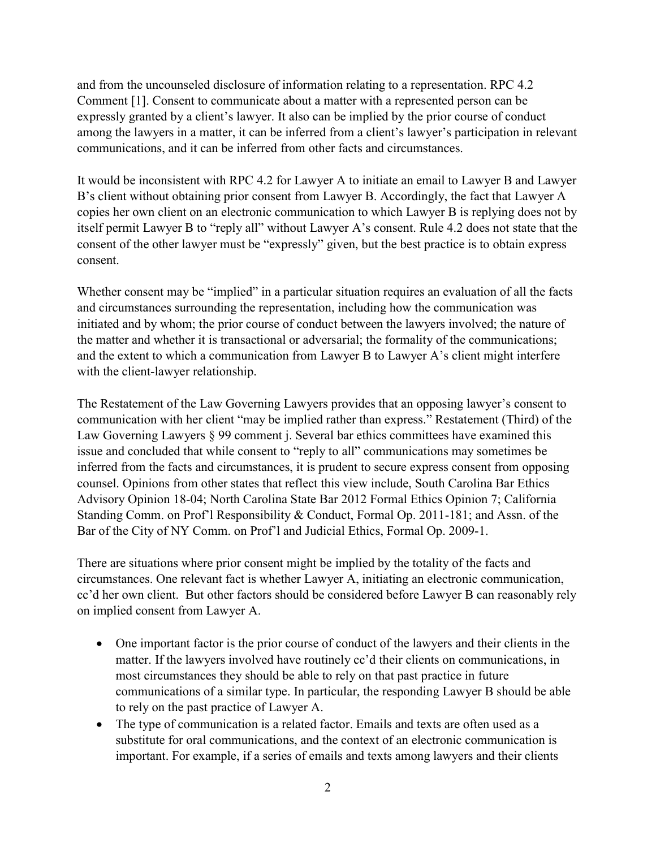and from the uncounseled disclosure of information relating to a representation. RPC 4.2 Comment [1]. Consent to communicate about a matter with a represented person can be expressly granted by a client's lawyer. It also can be implied by the prior course of conduct among the lawyers in a matter, it can be inferred from a client's lawyer's participation in relevant communications, and it can be inferred from other facts and circumstances.

It would be inconsistent with RPC 4.2 for Lawyer A to initiate an email to Lawyer B and Lawyer B's client without obtaining prior consent from Lawyer B. Accordingly, the fact that Lawyer A copies her own client on an electronic communication to which Lawyer B is replying does not by itself permit Lawyer B to "reply all" without Lawyer A's consent. Rule 4.2 does not state that the consent of the other lawyer must be "expressly" given, but the best practice is to obtain express consent.

Whether consent may be "implied" in a particular situation requires an evaluation of all the facts and circumstances surrounding the representation, including how the communication was initiated and by whom; the prior course of conduct between the lawyers involved; the nature of the matter and whether it is transactional or adversarial; the formality of the communications; and the extent to which a communication from Lawyer B to Lawyer A's client might interfere with the client-lawyer relationship.

The Restatement of the Law Governing Lawyers provides that an opposing lawyer's consent to communication with her client "may be implied rather than express." Restatement (Third) of the Law Governing Lawyers § 99 comment *j.* Several bar ethics committees have examined this issue and concluded that while consent to "reply to all" communications may sometimes be inferred from the facts and circumstances, it is prudent to secure express consent from opposing counsel. Opinions from other states that reflect this view include, South Carolina Bar Ethics Advisory Opinion 18-04; North Carolina State Bar 2012 Formal Ethics Opinion 7; California Standing Comm. on Prof'l Responsibility & Conduct, Formal Op. 2011-181; and Assn. of the Bar of the City of NY Comm. on Prof'l and Judicial Ethics, Formal Op. 2009-1.

There are situations where prior consent might be implied by the totality of the facts and circumstances. One relevant fact is whether Lawyer A, initiating an electronic communication, cc'd her own client. But other factors should be considered before Lawyer B can reasonably rely on implied consent from Lawyer A.

- One important factor is the prior course of conduct of the lawyers and their clients in the matter. If the lawyers involved have routinely cc'd their clients on communications, in most circumstances they should be able to rely on that past practice in future communications of a similar type. In particular, the responding Lawyer B should be able to rely on the past practice of Lawyer A.
- The type of communication is a related factor. Emails and texts are often used as a substitute for oral communications, and the context of an electronic communication is important. For example, if a series of emails and texts among lawyers and their clients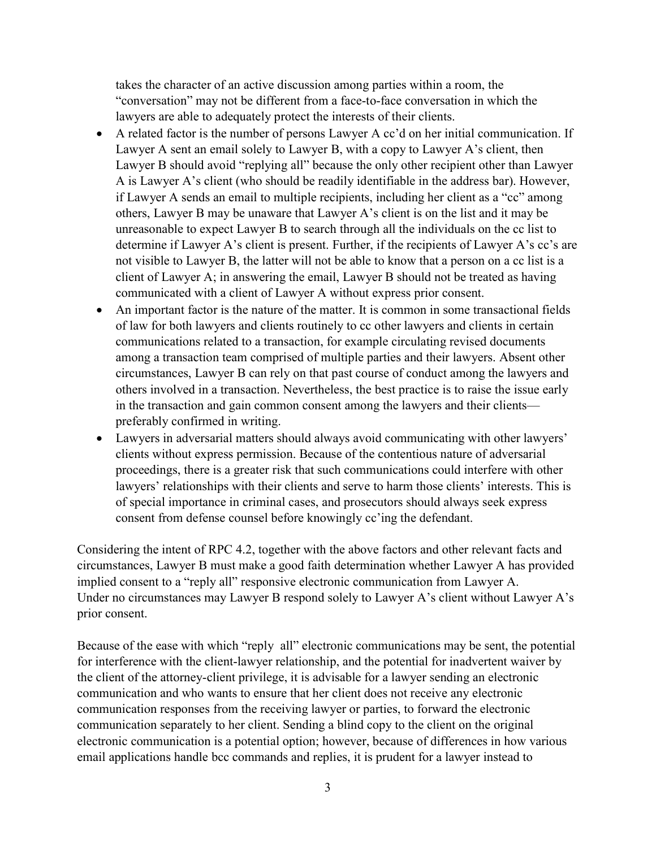takes the character of an active discussion among parties within a room, the "conversation" may not be different from a face-to-face conversation in which the lawyers are able to adequately protect the interests of their clients.

- A related factor is the number of persons Lawyer A cc'd on her initial communication. If Lawyer A sent an email solely to Lawyer B, with a copy to Lawyer A's client, then Lawyer B should avoid "replying all" because the only other recipient other than Lawyer A is Lawyer A's client (who should be readily identifiable in the address bar). However, if Lawyer A sends an email to multiple recipients, including her client as a "cc" among others, Lawyer B may be unaware that Lawyer A's client is on the list and it may be unreasonable to expect Lawyer B to search through all the individuals on the cc list to determine if Lawyer A's client is present. Further, if the recipients of Lawyer A's cc's are not visible to Lawyer B, the latter will not be able to know that a person on a cc list is a client of Lawyer A; in answering the email, Lawyer B should not be treated as having communicated with a client of Lawyer A without express prior consent.
- An important factor is the nature of the matter. It is common in some transactional fields of law for both lawyers and clients routinely to cc other lawyers and clients in certain communications related to a transaction, for example circulating revised documents among a transaction team comprised of multiple parties and their lawyers. Absent other circumstances, Lawyer B can rely on that past course of conduct among the lawyers and others involved in a transaction. Nevertheless, the best practice is to raise the issue early in the transaction and gain common consent among the lawyers and their clients preferably confirmed in writing.
- Lawyers in adversarial matters should always avoid communicating with other lawyers' clients without express permission. Because of the contentious nature of adversarial proceedings, there is a greater risk that such communications could interfere with other lawyers' relationships with their clients and serve to harm those clients' interests. This is of special importance in criminal cases, and prosecutors should always seek express consent from defense counsel before knowingly cc'ing the defendant.

Considering the intent of RPC 4.2, together with the above factors and other relevant facts and circumstances, Lawyer B must make a good faith determination whether Lawyer A has provided implied consent to a "reply all" responsive electronic communication from Lawyer A. Under no circumstances may Lawyer B respond solely to Lawyer A's client without Lawyer A's prior consent.

Because of the ease with which "reply all" electronic communications may be sent, the potential for interference with the client-lawyer relationship, and the potential for inadvertent waiver by the client of the attorney-client privilege, it is advisable for a lawyer sending an electronic communication and who wants to ensure that her client does not receive any electronic communication responses from the receiving lawyer or parties, to forward the electronic communication separately to her client. Sending a blind copy to the client on the original electronic communication is a potential option; however, because of differences in how various email applications handle bcc commands and replies, it is prudent for a lawyer instead to